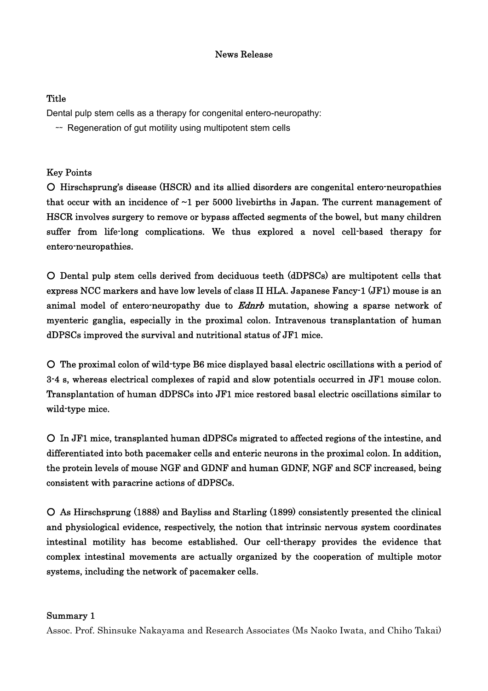# News Release

# **Title**

Dental pulp stem cells as a therapy for congenital entero-neuropathy:

~ Regeneration of gut motility using multipotent stem cells

# Key Points

○ Hirschsprung's disease (HSCR) and its allied disorders are congenital entero-neuropathies that occur with an incidence of  $\sim$ 1 per 5000 livebirths in Japan. The current management of HSCR involves surgery to remove or bypass affected segments of the bowel, but many children suffer from life-long complications. We thus explored a novel cell-based therapy for entero-neuropathies.

○ Dental pulp stem cells derived from deciduous teeth (dDPSCs) are multipotent cells that express NCC markers and have low levels of class II HLA. Japanese Fancy-1 (JF1) mouse is an animal model of entero-neuropathy due to *Ednrb* mutation, showing a sparse network of myenteric ganglia, especially in the proximal colon. Intravenous transplantation of human dDPSCs improved the survival and nutritional status of JF1 mice.

○ The proximal colon of wild-type B6 mice displayed basal electric oscillations with a period of 3-4 s, whereas electrical complexes of rapid and slow potentials occurred in JF1 mouse colon. Transplantation of human dDPSCs into JF1 mice restored basal electric oscillations similar to wild-type mice.

○ In JF1 mice, transplanted human dDPSCs migrated to affected regions of the intestine, and differentiated into both pacemaker cells and enteric neurons in the proximal colon. In addition, the protein levels of mouse NGF and GDNF and human GDNF, NGF and SCF increased, being consistent with paracrine actions of dDPSCs.

○ As Hirschsprung (1888) and Bayliss and Starling (1899) consistently presented the clinical and physiological evidence, respectively, the notion that intrinsic nervous system coordinates intestinal motility has become established. Our cell-therapy provides the evidence that complex intestinal movements are actually organized by the cooperation of multiple motor systems, including the network of pacemaker cells.

# Summary 1

Assoc. Prof. Shinsuke Nakayama and Research Associates (Ms Naoko Iwata, and Chiho Takai)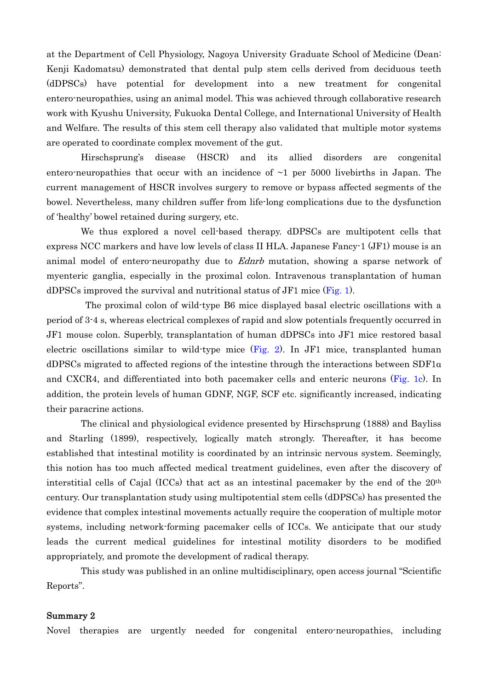at the Department of Cell Physiology, Nagoya University Graduate School of Medicine (Dean: Kenji Kadomatsu) demonstrated that dental pulp stem cells derived from deciduous teeth (dDPSCs) have potential for development into a new treatment for congenital entero-neuropathies, using an animal model. This was achieved through collaborative research work with Kyushu University, Fukuoka Dental College, and International University of Health and Welfare. The results of this stem cell therapy also validated that multiple motor systems are operated to coordinate complex movement of the gut.

Hirschsprung's disease (HSCR) and its allied disorders are congenital entero-neuropathies that occur with an incidence of  $\sim$ 1 per 5000 livebirths in Japan. The current management of HSCR involves surgery to remove or bypass affected segments of the bowel. Nevertheless, many children suffer from life-long complications due to the dysfunction of 'healthy' bowel retained during surgery, etc.

We thus explored a novel cell-based therapy. dDPSCs are multipotent cells that express NCC markers and have low levels of class II HLA. Japanese Fancy-1 (JF1) mouse is an animal model of entero-neuropathy due to *Ednrb* mutation, showing a sparse network of myenteric ganglia, especially in the proximal colon. Intravenous transplantation of human dDPSCs improved the survival and nutritional status of JF1 mice  $(Fig. 1)$ .

 The proximal colon of wild-type B6 mice displayed basal electric oscillations with a period of 3-4 s, whereas electrical complexes of rapid and slow potentials frequently occurred in JF1 mouse colon. Superbly, transplantation of human dDPSCs into JF1 mice restored basal electric oscillations similar to wild-type mice (Fig. 2). In JF1 mice, transplanted human dDPSCs migrated to affected regions of the intestine through the interactions between SDF1α and CXCR4, and differentiated into both pacemaker cells and enteric neurons (Fig. 1c). In addition, the protein levels of human GDNF, NGF, SCF etc. significantly increased, indicating their paracrine actions.

The clinical and physiological evidence presented by Hirschsprung (1888) and Bayliss and Starling (1899), respectively, logically match strongly. Thereafter, it has become established that intestinal motility is coordinated by an intrinsic nervous system. Seemingly, this notion has too much affected medical treatment guidelines, even after the discovery of interstitial cells of Cajal (ICCs) that act as an intestinal pacemaker by the end of the  $20<sup>th</sup>$ century. Our transplantation study using multipotential stem cells (dDPSCs) has presented the evidence that complex intestinal movements actually require the cooperation of multiple motor systems, including network-forming pacemaker cells of ICCs. We anticipate that our study leads the current medical guidelines for intestinal motility disorders to be modified appropriately, and promote the development of radical therapy.

This study was published in an online multidisciplinary, open access journal "Scientific Reports".

#### Summary 2

Novel therapies are urgently needed for congenital entero-neuropathies, including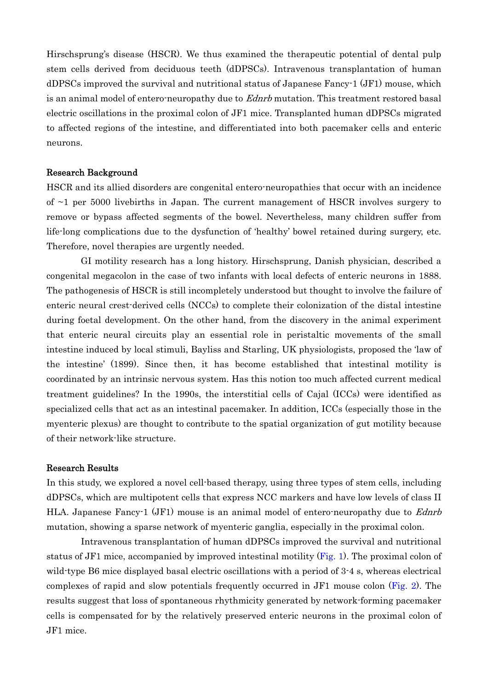Hirschsprung's disease (HSCR). We thus examined the therapeutic potential of dental pulp stem cells derived from deciduous teeth (dDPSCs). Intravenous transplantation of human dDPSCs improved the survival and nutritional status of Japanese Fancy-1 (JF1) mouse, which is an animal model of entero-neuropathy due to *Ednrb* mutation. This treatment restored basal electric oscillations in the proximal colon of JF1 mice. Transplanted human dDPSCs migrated to affected regions of the intestine, and differentiated into both pacemaker cells and enteric neurons.

#### Research Background

HSCR and its allied disorders are congenital entero-neuropathies that occur with an incidence of  $\sim$ 1 per 5000 livebirths in Japan. The current management of HSCR involves surgery to remove or bypass affected segments of the bowel. Nevertheless, many children suffer from life-long complications due to the dysfunction of 'healthy' bowel retained during surgery, etc. Therefore, novel therapies are urgently needed.

 GI motility research has a long history. Hirschsprung, Danish physician, described a congenital megacolon in the case of two infants with local defects of enteric neurons in 1888. The pathogenesis of HSCR is still incompletely understood but thought to involve the failure of enteric neural crest-derived cells (NCCs) to complete their colonization of the distal intestine during foetal development. On the other hand, from the discovery in the animal experiment that enteric neural circuits play an essential role in peristaltic movements of the small intestine induced by local stimuli, Bayliss and Starling, UK physiologists, proposed the 'law of the intestine' (1899). Since then, it has become established that intestinal motility is coordinated by an intrinsic nervous system. Has this notion too much affected current medical treatment guidelines? In the 1990s, the interstitial cells of Cajal (ICCs) were identified as specialized cells that act as an intestinal pacemaker. In addition, ICCs (especially those in the myenteric plexus) are thought to contribute to the spatial organization of gut motility because of their network-like structure.

#### Research Results

In this study, we explored a novel cell-based therapy, using three types of stem cells, including dDPSCs, which are multipotent cells that express NCC markers and have low levels of class II HLA. Japanese Fancy-1 (JF1) mouse is an animal model of entero-neuropathy due to *Ednrb* mutation, showing a sparse network of myenteric ganglia, especially in the proximal colon.

Intravenous transplantation of human dDPSCs improved the survival and nutritional status of JF1 mice, accompanied by improved intestinal motility (Fig. 1). The proximal colon of wild-type B6 mice displayed basal electric oscillations with a period of 3-4 s, whereas electrical complexes of rapid and slow potentials frequently occurred in JF1 mouse colon (Fig. 2). The results suggest that loss of spontaneous rhythmicity generated by network-forming pacemaker cells is compensated for by the relatively preserved enteric neurons in the proximal colon of JF1 mice.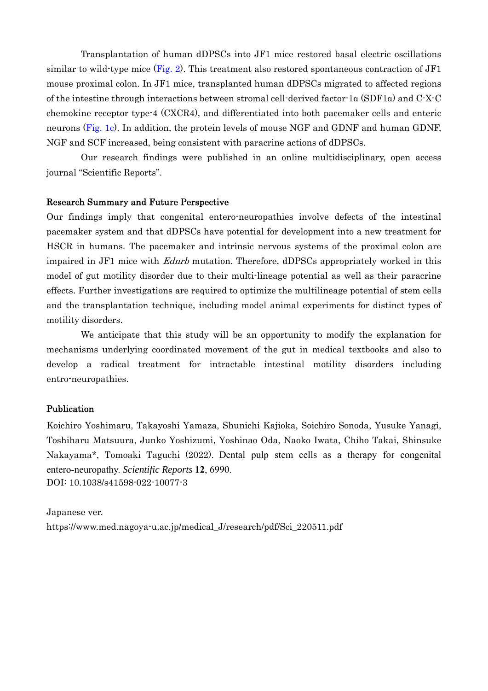Transplantation of human dDPSCs into JF1 mice restored basal electric oscillations similar to wild-type mice (Fig. 2). This treatment also restored spontaneous contraction of  $JF1$ mouse proximal colon. In JF1 mice, transplanted human dDPSCs migrated to affected regions of the intestine through interactions between stromal cell-derived factor-1α (SDF1α) and C-X-C chemokine receptor type-4 (CXCR4), and differentiated into both pacemaker cells and enteric neurons (Fig. 1c). In addition, the protein levels of mouse NGF and GDNF and human GDNF, NGF and SCF increased, being consistent with paracrine actions of dDPSCs.

Our research findings were published in an online multidisciplinary, open access journal "Scientific Reports".

### Research Summary and Future Perspective

Our findings imply that congenital entero-neuropathies involve defects of the intestinal pacemaker system and that dDPSCs have potential for development into a new treatment for HSCR in humans. The pacemaker and intrinsic nervous systems of the proximal colon are impaired in JF1 mice with *Ednrb* mutation. Therefore, dDPSCs appropriately worked in this model of gut motility disorder due to their multi-lineage potential as well as their paracrine effects. Further investigations are required to optimize the multilineage potential of stem cells and the transplantation technique, including model animal experiments for distinct types of motility disorders.

We anticipate that this study will be an opportunity to modify the explanation for mechanisms underlying coordinated movement of the gut in medical textbooks and also to develop a radical treatment for intractable intestinal motility disorders including entro-neuropathies.

## Publication

Koichiro Yoshimaru, Takayoshi Yamaza, Shunichi Kajioka, Soichiro Sonoda, Yusuke Yanagi, Toshiharu Matsuura, Junko Yoshizumi, Yoshinao Oda, Naoko Iwata, Chiho Takai, Shinsuke Nakayama\*, Tomoaki Taguchi (2022). Dental pulp stem cells as a therapy for congenital entero-neuropathy. *Scientific Reports* **12**, 6990. DOI: 10.1038/s41598-022-10077-3

Japanese ver. https://www.med.nagoya-u.ac.jp/medical\_J/research/pdf/Sci\_220511.pdf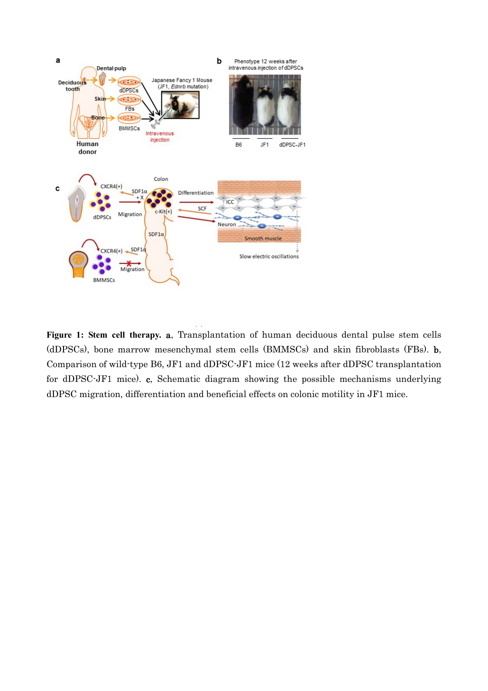

**Figure 1: Stem cell therapy.** a, Transplantation of human deciduous dental pulse stem cells (dDPSCs), bone marrow mesenchymal stem cells (BMMSCs) and skin fibroblasts (FBs). b, Comparison of wild-type B6, JF1 and dDPSC-JF1 mice (12 weeks after dDPSC transplantation for dDPSC-JF1 mice). c, Schematic diagram showing the possible mechanisms underlying dDPSC migration, differentiation and beneficial effects on colonic motility in JF1 mice.